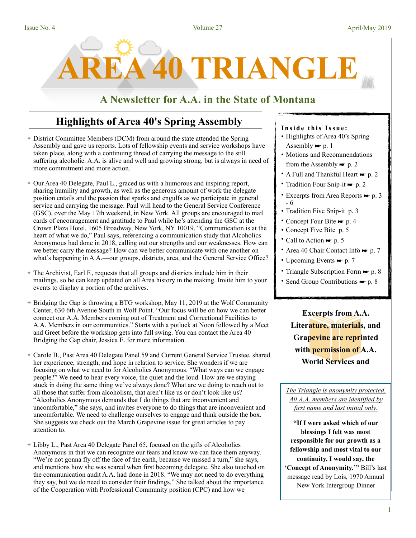

# **A Newsletter for A.A. in the State of Montana**

# **Highlights of Area 40's Spring Assembly**

- ✦ District Committee Members (DCM) from around the state attended the Spring Assembly and gave us reports. Lots of fellowship events and service workshops have taken place, along with a continuing thread of carrying the message to the still suffering alcoholic. A.A. is alive and well and growing strong, but is always in need of more commitment and more action.
- ✦ Our Area 40 Delegate, Paul L., graced us with a humorous and inspiring report, sharing humility and growth, as well as the generous amount of work the delegate position entails and the passion that sparks and engulfs as we participate in general service and carrying the message. Paul will head to the General Service Conference (GSC), over the May 17th weekend, in New York. All groups are encouraged to mail cards of encouragement and gratitude to Paul while he's attending the GSC at the Crown Plaza Hotel, 1605 Broadway, New York, NY 10019. "Communication is at the heart of what we do," Paul says, referencing a communication study that Alcoholics Anonymous had done in 2018, calling out our strengths and our weaknesses. How can we better carry the message? How can we better communicate with one another on what's happening in A.A.—our groups, districts, area, and the General Service Office?
- ✦ The Archivist, Earl F., requests that all groups and districts include him in their mailings, so he can keep updated on all Area history in the making. Invite him to your events to display a portion of the archives.
- ✦ Bridging the Gap is throwing a BTG workshop, May 11, 2019 at the Wolf Community Center, 630 6th Avenue South in Wolf Point. "Our focus will be on how we can better connect our A.A. Members coming out of Treatment and Correctional Facilities to A.A. Members in our communities." Starts with a potluck at Noon followed by a Meet and Greet before the workshop gets into full swing. You can contact the Area 40 Bridging the Gap chair, Jessica E. for more information.
- ✦ Carole B., Past Area 40 Delegate Panel 59 and Current General Service Trustee, shared her experience, strength, and hope in relation to service. She wonders if we are focusing on what we need to for Alcoholics Anonymous. "What ways can we engage people?" We need to hear every voice, the quiet and the loud. How are we staying stuck in doing the same thing we've always done? What are we doing to reach out to all those that suffer from alcoholism, that aren't like us or don't look like us? "Alcoholics Anonymous demands that I do things that are inconvenient and uncomfortable," she says, and invites everyone to do things that are inconvenient and uncomfortable. We need to challenge ourselves to engage and think outside the box. She suggests we check out the March Grapevine issue for great articles to pay attention to.
- ✦ Libby L., Past Area 40 Delegate Panel 65, focused on the gifts of Alcoholics Anonymous in that we can recognize our fears and know we can face them anyway. "We're not gonna fly off the face of the earth, because we missed a turn," she says, and mentions how she was scared when first becoming delegate. She also touched on the communication audit A.A. had done in 2018. "We may not need to do everything they say, but we do need to consider their findings." She talked about the importance of the Cooperation with Professional Community position (CPC) and how we

### **Inside this Issue:**

- Highlights of Area 40's Spring Assembly  $\blacktriangleright$  p. 1
- Motions and Recommendations from the Assembly  $\blacktriangleright$  p. 2
- A Full and Thankful Heart ► p. 2
- Tradition Four Snip-it ☛ p. 2
- Excerpts from Area Reports  $\blacktriangleright$  p. 3 - 6
- Tradition Five Snip-it p. 3
- Concept Four Bite p. 4
- Concept Five Bite p. 5
- Call to Action  $\blacktriangleright$  p. 5
- Area 40 Chair Contact Info p. 7
- Upcoming Events p. 7
- Triangle Subscription Form p. 8
- Send Group Contributions p. 8

**Excerpts from A.A. Literature, materials, and Grapevine are reprinted with permission of A.A. World Services and** 

*The Triangle is anonymity protected. All A.A. members are identified by first name and last initial only.* 

**"If I were asked which of our blessings I felt was most responsible for our growth as a fellowship and most vital to our continuity, I would say, the 'Concept of Anonymity.'"** Bill's last message read by Lois, 1970 Annual New York Intergroup Dinner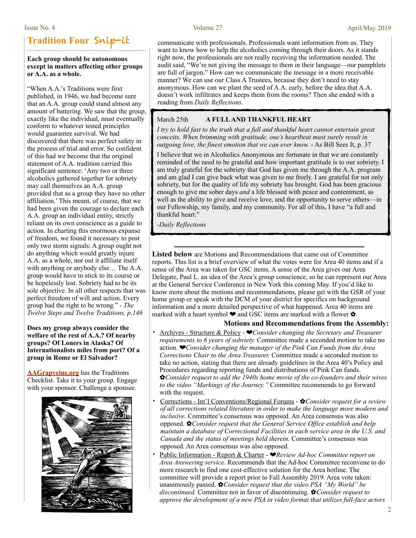# **Tradition Four** Snip-it

### **Each group should be autonomous except in matters affecting other groups or A.A. as a whole.**

"When A.A.'s Traditions were first published, in 1946, we had become sure that an A.A. group could stand almost any amount of battering. We saw that the group, exactly like the individual, must eventually conform to whatever tested principles would guarantee survival. We had discovered that there was perfect safety in the process of trial and error. So confident of this had we become that the original statement of A.A. tradition carried this significant sentence: 'Any two or three alcoholics gathered together for sobriety may call themselves an A.A. group provided that as a group they have no other affiliation.' This meant, of course, that we had been given the courage to declare each A.A. group an individual entity, strictly reliant on its own conscience as a guide to action. In charting this enormous expanse of freedom, we found it necessary to post only two storm signals: A group ought not do anything which would greatly injure A.A. as a whole, nor out it affiliate itself with anything or anybody else… The A.A. group would have to stick to its course or be hopelessly lost. Sobriety had to be its sole objective. In all other respects that was perfect freedom of will and action. Every group had the right to be wrong." *- The Twelve Steps and Twelve Traditions, p.146* 

**Does my group always consider the welfare of the rest of A.A.? Of nearby groups? Of Loners in Alaska? Of Internationalists miles from port? Of a group in Rome or El Salvador?** 

**[AAGrapveine.org](http://AAGrapveine.org)** has the Traditions Checklist. Take it to your group. Engage with your sponsor. Challenge a sponsee.



communicate with professionals. Professionals want information from us. They want to know how to help the alcoholics coming through their doors. As it stands right now, the professionals are not really receiving the information needed. The audit said, "We're not giving the message to them in their language—our pamphlets are full of jargon." How can we communicate the message in a more receivable manner? We can use our Class A Trustees, because they don't need to stay anonymous. How can we plant the seed of A.A. early, before the idea that A.A. doesn't work infiltrates and keeps them from the rooms? Then she ended with a reading from *Daily Reflections*.

### March 25th **A FULL AND THANKFUL HEART**

*I try to hold fast to the truth that a full and thankful heart cannot entertain great conceits. When brimming with gratitude, one's heartbeat must surely result in outgoing love, the finest emotion that we can ever know.* - As Bill Sees It, p. 37

I believe that we in Alcoholics Anonymous are fortunate in that we are constantly reminded of the need to be grateful and how important gratitude is to our sobriety. I am truly grateful for the sobriety that God has given me through the A.A. program and am glad I can give back what was given to me freely. I am grateful for not only sobriety, but for the quality of life my sobriety has brought. God has been gracious enough to give me sober days *and* a life blessed with peace and contentment, as well as the ability to give and receive love, and the opportunity to serve others—in our Fellowship, my family, and my community. For all of this, I have "a full and thankful heart.'

*-Daily Reflections*

**Listed below** are Motions and Recommendations that came out of Committee reports. This list is a brief overview of what the votes were for Area 40 items and if a sense of the Area was taken for GSC items. A sense of the Area gives our Area Delegate, Paul L. an idea of the Area's group conscience, so he can represent our Area at the General Service Conference in New York this coming May. If you'd like to know more about the motions and recommendations, please get with the GSR of your home group or speak with the DCM of your district for specifics on background information and a more detailed perspective of what happened. Area 40 items are marked with a heart symbol  $\blacktriangleright$  and GSC items are marked with a flower  $\clubsuit$ .

### **Motions and Recommendations from the Assembly:**

- Archives Structure & Policy ❤*Consider changing the Secretary and Treasurer requirements to 6 years of sobriety.* Committee made a seconded motion to take no action. ❤*Consider changing the manager of the Pink Can Funds from the Area Corrections Chair to the Area Treasurer.* Committee made a seconded motion to take no action, stating that there are already guidelines in the Area 40's Policy and Procedures regarding reporting funds and distributions of Pink Can funds. ✿*Consider request to add the 1940s home movie of the co-founders and their wives to the video "Markings of the Journey."* Committee recommends to go forward with the request.
- Corrections Int'l Conventions/Regional Forums ✿*Consider request for a review of all corrections related literature in order to make the language more modern and inclusive.* Committee's consensus was opposed. An Area consensus was also opposed. ✿*Consider request that the General Service Office establish and help maintain a database of Correctional Facilities in each service area in the U.S. and Canada and the status of meetings held therein.* Committee's consensus was opposed. An Area consensus was also opposed.
- Public Information Report & Charter ❤*Review Ad-hoc Committee report on Area Answering service.* Recommends that the Ad-hoc Committee reconvene to do more research to find one cost-effective solution for the Area hotline. The committee will provide a report prior to Fall Assembly 2019. Area vote taken: unanimously passed. ✿*Consider request that the video PSA "My World" be discontinued.* Committee not in favor of discontinuing. ✿*Consider request to approve the development of a new PSA in video format that utilizes full-face actors*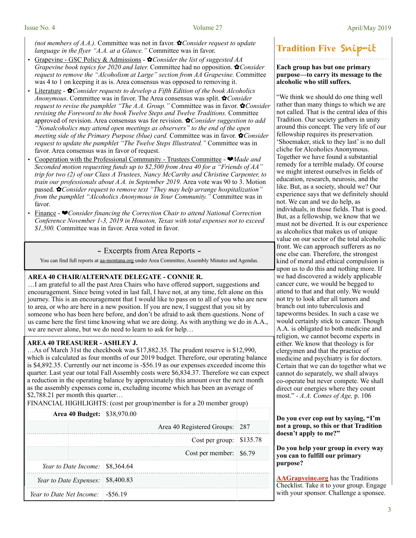*(not members of A.A.).* Committee was not in favor. ✿*Consider request to update language in the flyer "A.A. at a Glance."* Committee was in favor.

- Grapevine GSC Policy & Admissions ✿*Consider the list of suggested AA Grapevine book topics for 2020 and later.* Committee had no opposition. ✿*Consider request to remove the "Alcoholism at Large" section from AA Grapevine.* Committee was 4 to 1 on keeping it as is. Area consensus was opposed to removing it.
- Literature ✿*Consider requests to develop a Fifth Edition of the book Alcoholics Anonymous*. Committee was in favor. The Area consensus was split. ✿*Consider request to revise the pamphlet "The A.A. Group."* Committee was in favor. ✿*Consider revising the Foreword to the book Twelve Steps and Twelve Traditions.* Committee approved of revision. Area consensus was for revision. ✿*Consider suggestion to add "Nonalcoholics may attend open meetings as observers" to the end of the open meeting side of the Primary Purpose (blue) card.* Committee was in favor. ✿*Consider request to update the pamphlet "The Twelve Steps Illustrated."* Committee was in favor. Area consensus was in favor of request.
- Cooperation with the Professional Community Trustees Committee ❤*Made and Seconded motion requesting funds up to \$2,500 from Area 40 for a "Friends of AA" trip for two (2) of our Class A Trustees, Nancy McCarthy and Christine Carpenter, to train our professionals about A.A. in September 2019.* Area vote was 90 to 3. Motion passed. ✿*Consider request to remove text "They may help arrange hospitalization" from the pamphlet "Alcoholics Anonymous in Your Community."* Committee was in favor.
- Finance ❤*Consider financing the Correction Chair to attend National Correction Conference November 1-3, 2019 in Houston, Texas with total expenses not to exceed \$1,500.* Committee was in favor. Area voted in favor.

### - Excerpts from Area Reports -

You can find full reports at [aa-montana.org](http://aa-montana.org) under Area Committee, Assembly Minutes and Agendas.

### **AREA 40 CHAIR/ALTERNATE DELEGATE - CONNIE R.**

…I am grateful to all the past Area Chairs who have offered support, suggestions and encouragement. Since being voted in last fall, I have not, at any time, felt alone on this journey. This is an encouragement that I would like to pass on to all of you who are new to area, or who are here in a new position. If you are new, I suggest that you sit by someone who has been here before, and don't be afraid to ask them questions. None of us came here the first time knowing what we are doing. As with anything we do in A.A., we are never alone, but we do need to learn to ask for help…

### **AREA 40 TREASURER - ASHLEY J.**

…As of March 31st the checkbook was \$17,882.35. The prudent reserve is \$12,990, which is calculated as four months of our 2019 budget. Therefore, our operating balance is \$4,892.35. Currently our net income is -\$56.19 as our expenses exceeded income this quarter. Last year our total Fall Assembly costs were \$6,834.37. Therefore we can expect a reduction in the operating balance by approximately this amount over the next month as the assembly expenses come in, excluding income which has been an average of \$2,788.21 per month this quarter…

FINANCIAL HIGHLIGHTS: (cost per group/member is for a 20 member group)

| <b>Area 40 Budget:</b> \$38,970.00 |                                  |     |
|------------------------------------|----------------------------------|-----|
|                                    | Area 40 Registered Groups:       | 287 |
|                                    | Cost per group: $\vert$ \$135.78 |     |
|                                    | Cost per member: $$6.79$         |     |
|                                    |                                  |     |
| Year to Date Expenses:             | \$8,400.83                       |     |
| Year to Date Net Income:           | $-$ \$56.19                      |     |

# **Tradition Five** Snip-it

### **Each group has but one primary purpose—to carry its message to the alcoholic who still suffers.**

"We think we should do one thing well rather than many things to which we are not called. That is the central idea of this Tradition. Our society gathers in unity around this concept. The very life of our fellowship requires its preservation. 'Shoemaker, stick to they last' is no dull cliche for Alcoholics Anonymous. Together we have found a substantial remedy for a terrible malady. Of course we might interest ourselves in fields of education, research, neurosis, and the like. But, as a society, should we? Our experience says that we definitely should not. We can and we do help, as individuals, in those fields. That is good. But, as a fellowship, we know that we must not be diverted. It is our experience as alcoholics that makes us of unique value on our sector of the total alcoholic front. We can approach sufferers as no one else can. Therefore, the strongest kind of moral and ethical compulsion is upon us to do this and nothing more. If we had discovered a widely applicable cancer cure, we would be begged to attend to that and that only. We would not try to look after all tumors and branch out into tuberculosis and tapeworms besides. In such a case we would certainly stick to cancer. Though A.A. is obligated to both medicine and religion, we cannot become experts in either. We know that theology is for clergymen and that the practice of medicine and psychiatry is for doctors. Certain that we can do together what we cannot do separately, we shall always co-operate but never compete. We shall direct our energies where they count most." *- A.A. Comes of Age,* p. 106

### **Do you ever cop out by saying, "I'm not a group, so this or that Tradition doesn't apply to me?"**

### **Do you help your group in every way you can to fulfill our primary purpose?**

**[AAGrapveine.org](http://AAGrapveine.org)** has the Traditions Checklist. Take it to your group. Engage with your sponsor. Challenge a sponsee.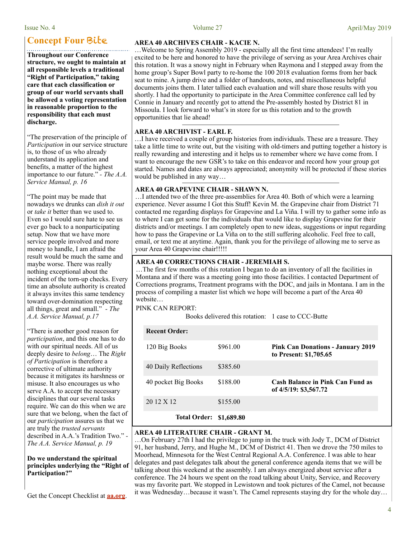# **Concept Four** Bite

**Throughout our Conference structure, we ought to maintain at all responsible levels a traditional "Right of Participation," taking care that each classification or group of our world servants shall be allowed a voting representation in reasonable proportion to the responsibility that each must discharge.** 

"The preservation of the principle of *Participation* in our service structure is, to those of us who already understand its application and benefits, a matter of the highest importance to our future." *- The A.A. Service Manual, p. 16*

"The point may be made that nowadays we drunks can *dish it out* or *take it* better than we used to. Even so I would sure hate to see us ever go back to a nonparticipating setup. Now that we have more service people involved and more money to handle, I am afraid the result would be much the same and maybe worse. There was really nothing exceptional about the incident of the torn-up checks. Every time an absolute authority is created it always invites this same tendency toward over-domination respecting all things, great and small." *- The A.A. Service Manual, p.17*

"There is another good reason for *participation*, and this one has to do with our spiritual needs. All of us deeply desire to *belong*… The *Right of Participation* is therefore a corrective of ultimate authority because it mitigates its harshness or misuse. It also encourages us who serve A.A. to accept the necessary disciplines that our several tasks require. We can do this when we are sure that we belong, when the fact of our *participation* assures us that we are truly the *trusted servants* described in A.A.'s Tradition Two." *- The A.A. Service Manual, p. 19*

### **Do we understand the spiritual principles underlying the "Right of Participation?"**

Get the Concept Checklist at **[aa.org](http://aa.org)**.

### **AREA 40 ARCHIVES CHAIR - KACIE N.**

…Welcome to Spring Assembly 2019 - especially all the first time attendees! I'm really excited to be here and honored to have the privilege of serving as your Area Archives chair this rotation. It was a snowy night in February when Raymona and I stepped away from the home group's Super Bowl party to re-home the 100 2018 evaluation forms from her back seat to mine. A jump drive and a folder of handouts, notes, and miscellaneous helpful documents joins them. I later tallied each evaluation and will share those results with you shortly. I had the opportunity to participate in the Area Committee conference call led by Connie in January and recently got to attend the Pre-assembly hosted by District 81 in Missoula. I look forward to what's in store for us this rotation and to the growth opportunities that lie ahead!

### **AREA 40 ARCHIVIST - EARL F.**

…I have received a couple of group histories from individuals. These are a treasure. They take a little time to write out, but the visiting with old-timers and putting together a history is really rewarding and interesting and it helps us to remember where we have come from. I want to encourage the new GSR's to take on this endeavor and record how your group got started. Names and dates are always appreciated; anonymity will be protected if these stories would be published in any way…

### **AREA 40 GRAPEVINE CHAIR - SHAWN N.**

…I attended two of the three pre-assemblies for Area 40. Both of which were a learning experience. Never assume I Got this Stuff! Kevin M. the Grapevine chair from District 71 contacted me regarding displays for Grapevine and La Viña. I will try to gather some info as to where I can get some for the individuals that would like to display Grapevine for their districts and/or meetings. I am completely open to new ideas, suggestions or input regarding how to pass the Grapevine or La Viña on to the still suffering alcoholic. Feel free to call, email, or text me at anytime. Again, thank you for the privilege of allowing me to serve as your Area 40 Grapevine chair!!!!!

### **AREA 40 CORRECTIONS CHAIR - JEREMIAH S.**

…The first few months of this rotation I began to do an inventory of all the facilities in Montana and if there was a meeting going into those facilities. I contacted Department of Corrections programs, Treatment programs with the DOC, and jails in Montana. I am in the process of compiling a master list which we hope will become a part of the Area 40 website…

### PINK CAN REPORT:

Books delivered this rotation: 1 case to CCC-Butte

| <b>Recent Order:</b> |            |                                                                    |
|----------------------|------------|--------------------------------------------------------------------|
| 120 Big Books        | \$961.00   | <b>Pink Can Donations - January 2019</b><br>to Present: \$1,705.65 |
| 40 Daily Reflections | \$385.60   |                                                                    |
| 40 pocket Big Books  | \$188.00   | <b>Cash Balance in Pink Can Fund as</b><br>of 4/5/19: \$3,567.72   |
| 20 12 X 12           | \$155.00   |                                                                    |
| <b>Total Order:</b>  | \$1,689.80 |                                                                    |

### **AREA 40 LITERATURE CHAIR - GRANT M.**

…On February 27th I had the privilege to jump in the truck with Jody T., DCM of District 91, her husband, Jerry, and Hughe M., DCM of District 41. Then we drove the 750 miles to Moorhead, Minnesota for the West Central Regional A.A. Conference. I was able to hear delegates and past delegates talk about the general conference agenda items that we will be talking about this weekend at the assembly. I am always energized about service after a conference. The 24 hours we spent on the road talking about Unity, Service, and Recovery was my favorite part. We stopped in Lewistown and took pictures of the Camel, not because it was Wednesday…because it wasn't. The Camel represents staying dry for the whole day…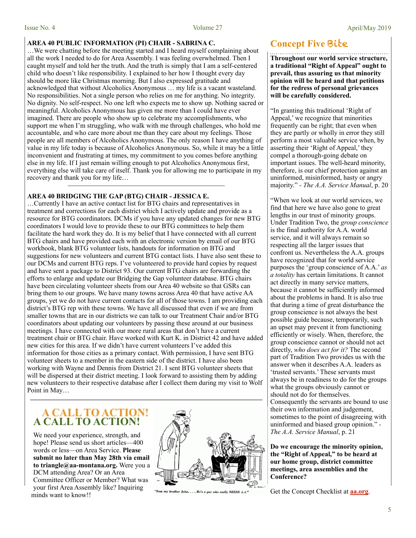### **AREA 40 PUBLIC INFORMATION (PI) CHAIR - SABRINA C.**

…We were chatting before the meeting started and I heard myself complaining about all the work I needed to do for Area Assembly. I was feeling overwhelmed. Then I caught myself and told her the truth. And the truth is simply that I am a self-centered child who doesn't like responsibility. I explained to her how I thought every day should be more like Christmas morning. But I also expressed gratitude and acknowledged that without Alcoholics Anonymous … my life is a vacant wasteland. No responsibilities. Not a single person who relies on me for anything. No integrity. No dignity. No self-respect. No one left who expects me to show up. Nothing sacred or meaningful. Alcoholics Anonymous has given me more than I could have ever imagined. There are people who show up to celebrate my accomplishments, who support me when I'm struggling, who walk with me through challenges, who hold me accountable, and who care more about me than they care about my feelings. Those people are all members of Alcoholics Anonymous. The only reason I have anything of value in my life today is because of Alcoholics Anonymous. So, while it may be a little inconvenient and frustrating at times, my commitment to you comes before anything else in my life. If I just remain willing enough to put Alcoholics Anonymous first, everything else will take care of itself. Thank you for allowing me to participate in my recovery and thank you for my life…

### **AREA 40 BRIDGING THE GAP (BTG) CHAIR - JESSICA E.**

…Currently I have an active contact list for BTG chairs and representatives in treatment and corrections for each district which I actively update and provide as a resource for BTG coordinators. DCMs if you have any updated changes for new BTG coordinators I would love to provide these to our BTG committees to help them facilitate the hard work they do. It is my belief that I have connected with all current BTG chairs and have provided each with an electronic version by email of our BTG workbook, blank BTG volunteer lists, handouts for information on BTG and suggestions for new volunteers and current BTG contact lists. I have also sent these to our DCMs and current BTG reps. I've volunteered to provide hard copies by request and have sent a package to District 93. Our current BTG chairs are forwarding the efforts to enlarge and update our Bridging the Gap volunteer database. BTG chairs have been circulating volunteer sheets from our Area 40 website so that GSRs can bring them to our groups. We have many towns across Area 40 that have active AA groups, yet we do not have current contacts for all of those towns. I am providing each district's BTG rep with these towns. We have all discussed that even if we are from smaller towns that are in our districts we can talk to our Treatment Chair and/or BTG coordinators about updating our volunteers by passing these around at our business meetings. I have connected with our more rural areas that don't have a current treatment chair or BTG chair. Have worked with Kurt K. in District 42 and have added new cities for this area. If we didn't have current volunteers I've added this information for those cities as a primary contact. With permission, I have sent BTG volunteer sheets to a member in the eastern side of the district. I have also been working with Wayne and Dennis from District 21. I sent BTG volunteer sheets that will be dispersed at their district meeting. I look forward to assisting them by adding new volunteers to their respective database after I collect them during my visit to Wolf Point in May…

# **A CALL TO ACTION!**

We need your experience, strength, and hope! Please send us short articles—400 words or less—on Area Service. **Please submit no later than May 28th via email to triangle@aa-montana.org.** Were you a DCM attending Area? Or an Area Committee Officer or Member? What was your first Area Assembly like? Inquiring minds want to know!!



"Now my brother John. . . . He's a guy who really NEEDS A.A."

# **Concept Five** Bite

**Throughout our world service structure, a traditional "Right of Appeal" ought to prevail, thus assuring us that minority opinion will be heard and that petitions for the redress of personal grievances will be carefully considered.** 

"In granting this traditional 'Right of Appeal,' we recognize that minorities frequently can be right; that even when they are partly or wholly in error they still perform a most valuable service when, by asserting their 'Right of Appeal,' they compel a thorough-going debate on important issues. The well-heard minority, therefore, is our chief protection against an uninformed, misinformed, hasty or angry majority." *- The A.A. Service Manual*, p. 20

"When we look at our world services, we find that here we have also gone to great lengths in our trust of minority groups. Under Tradition Two, the *group conscience* is the final authority for A.A. world service, and it will always remain so respecting all the larger issues that confront us. Nevertheless the A.A. groups have recognized that for world service purposes the 'group conscience of A.A.' *as a totality* has certain limitations. It cannot act directly in many service matters, because it cannot be sufficiently informed about the problems in hand. It is also true that during a time of great disturbance the group conscience is not always the best possible guide because, temporarily, such an upset may prevent it from functioning efficiently or wisely. When, therefore, the group conscience cannot or should not act directly, *who does act for it?* The second part of Tradition Two provides us with the answer when it describes A.A. leaders as 'trusted servants.' These servants must always be in readiness to do for the groups what the groups obviously cannot or should not do for themselves. Consequently the servants are bound to use their own information and judgement, sometimes to the point of disagreeing with uninformed and biased group opinion." *- The A.A. Service Manual*, p. 21

**Do we encourage the minority opinion, the "Right of Appeal," to be heard at our home group, district committee meetings, area assemblies and the Conference?** 

Get the Concept Checklist at **[aa.org](http://aa.org)**.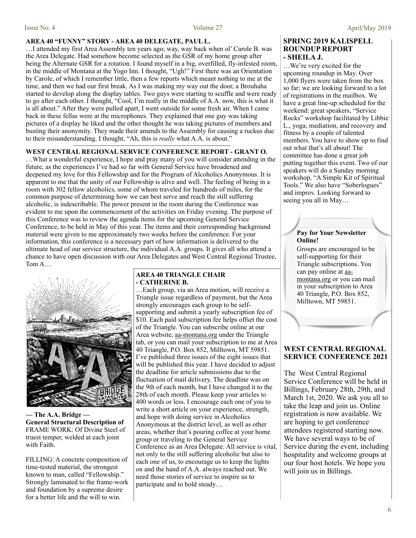### **AREA 40 "FUNNY" STORY - AREA 40 DELEGATE, PAUL L.**

…I attended my first Area Assembly ten years ago; way, way back when ol' Carole B. was the Area Delegate. Had somehow become selected as the GSR of my home group after being the Alternate GSR for a rotation. I found myself in a big, overfilled, fly-infested room, in the middle of Montana at the Yogo Inn. I thought, "Ugh!" First there was an Orientation by Carole, of which I remember little, then a few reports which meant nothing to me at the time, and then we had our first break. As I was making my way out the door, a Brouhaha started to develop along the display tables. Two guys were starting to scuffle and were ready to go after each other. I thought, "Cool, I'm really in the middle of A.A. now, this is what it is all about." After they were pulled apart, I went outside for some fresh air. When I came back in these fellas were at the microphones. They explained that one guy was taking pictures of a display he liked and the other thought he was taking pictures of members and busting their anonymity. They made their amends to the Assembly for causing a ruckus due to their misunderstanding. I thought, "Ah, this is *really* what A.A. is about."

### **WEST CENTRAL REGIONAL SERVICE CONFERENCE REPORT - GRANT O.**

…What a wonderful experience, I hope and pray many of you will consider attending in the future, as the experiences I've had so far with General Service have broadened and deepened my love for this Fellowship and for the Program of Alcoholics Anonymous. It is apparent to me that the unity of our Fellowship is alive and well. The feeling of being in a room with 302 fellow alcoholics, some of whom traveled for hundreds of miles, for the common purpose of determining how we can best serve and reach the still suffering alcoholic, is indescribable. The power present in the room during the Conference was evident to me upon the commencement of the activities on Friday evening. The purpose of this Conference was to review the agenda items for the upcoming General Service Conference, to be held in May of this year. The items and their corresponding background material were given to me approximately two weeks before the conference. For your information, this conference is a necessary part of how information is delivered to the ultimate head of our service structure, the individual A.A. groups. It gives all who attend a chance to have open discussion with our Area Delegates and West Central Regional Trustee, Tom A…



**— The A.A. Bridge — General Structural Description of**  FRAME WORK: Of Divine Steel of truest temper, welded at each joint with Faith.

FILLING: A concrete composition of time-tested material, the strongest known to man, called "Fellowship." Strongly laminated to the frame-work and foundation by a supreme desire for a better life and the will to win.

### **AREA 40 TRIANGLE CHAIR - CATHERINE B.**

…Each group, via an Area motion, will receive a Triangle issue regardless of payment, but the Area strongly encourages each group to be selfsupporting and submit a yearly subscription fee of \$10. Each paid subscription fee helps offset the cost of the Triangle. You can subscribe online at our Area website, [aa-montana.org](http://aa-montana.org) under the Triangle tab, or you can mail your subscription to me at Area 40 Triangle, P.O. Box 852, Milltown, MT 59851. I've published three issues of the eight issues that will be published this year. I have decided to adjust the deadline for article submissions due to the fluctuation of mail delivery. The deadline was on the 9th of each month, but I have changed it to the 28th of each month. Please keep your articles to 400 words or less. I encourage each one of you to write a short article on your experience, strength, and hope with doing service in Alcoholics Anonymous at the district level, as well as other areas, whether that's pouring coffee at your home group or traveling to the General Service Conference as an Area Delegate. All service is vital, not only to the still suffering alcoholic but also to each one of us, to encourage us to keep the lights on and the hand of A.A. always reached out. We need those stories of service to inspire us to participate and to hold steady…

### **SPRING 2019 KALISPELL ROUNDUP REPORT - SHEILA J.**

…We're very excited for the upcoming roundup in May. Over 1,000 flyers were taken from the box so far; we are looking forward to a lot of registrations in the mailbox. We have a great line-up scheduled for the weekend: great speakers, "Service Rocks" workshop facilitated by Libbie L., yoga, mediation, and recovery and fitness by a couple of talented members. You have to show up to find out what that's all about! The committee has done a great job putting together this event. Two of our speakers will do a Sunday morning workshop, "A Simple Kit of Spiritual Tools." We also have "Soberlogues" and improv. Looking forward to seeing you all in May…

### **Pay for Your Newsletter Online!**

Groups are encouraged to be self-supporting for their Triangle subscriptions. You can pay online at [aa](http://aa-montana.org)[montana.org](http://aa-montana.org) or you can mail in your subscription to [Area](http://aa-montana.org) 40 Tri[angle, P.O. B](http://aa-montana.org)ox 852, Milltown, MT 59851.

### **WEST CENTRAL REGIONAL SERVICE CONFERENCE 2021**

The West Central Regional Service Conference will be held in Billings, February 28th, 29th, and March 1st, 2020. We ask you all to take the leap and join us. Online registration is now available. We are hoping to get conference attendees registered starting now. We have several ways to be of Service during the event, including hospitality and welcome groups at our four host hotels. We hope you will join us in Billings.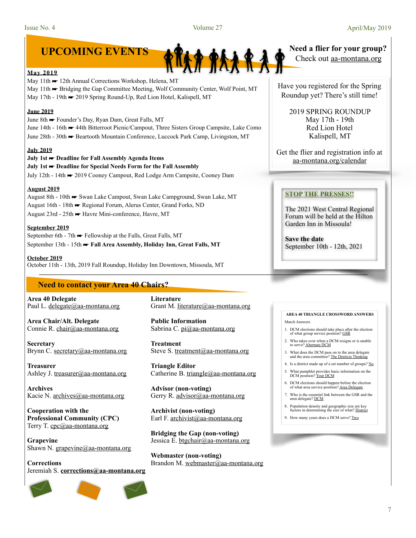

### **May 2019**

May 11th ► 12th Annual Corrections Workshop, Helena, MT May 11th ► Bridging the Gap Committee Meeting, Wolf Community Center, Wolf Point, MT May 17th - 19th → 2019 Spring Round-Up, Red Lion Hotel, Kalispell, MT

### **June 2019**

June 8th ☛ Founder's Day, Ryan Dam, Great Falls, MT June 14th - 16th ☛ 44th Bitterroot Picnic/Campout, Three Sisters Group Campsite, Lake Como June 28th - 30th ☛ Beartooth Mountain Conference, Luccock Park Camp, Livingston, MT

### **July 2019**

**July 1st** ☛ **Deadline for Fall Assembly Agenda Items July 1st** ☛ **Deadline for Special Needs Form for the Fall Assembly**  July 12th - 14th ☛ 2019 Cooney Campout, Red Lodge Arm Campsite, Cooney Dam

### **August 2019**

August 8th - 10th ☛ Swan Lake Campout, Swan Lake Campground, Swan Lake, MT August 16th - 18th ☛ Regional Forum, Alerus Center, Grand Forks, ND August 23rd - 25th ☛ Havre Mini-conference, Havre, MT

### **September 2019**

September 6th - 7th ► Fellowship at the Falls, Great Falls, MT September 13th - 15th ► Fall Area Assembly, Holiday Inn, Great Falls, MT

**October 2019** October 11th - 13th, 2019 Fall Roundup, Holiday Inn Downtown, Missoula, MT

### **Need to contact your Area 40 Chairs?**

**Area 40 Delegate**  Paul L. [delegate@aa-montana.org](mailto:delegate@aa-montana.org)

**Area Chair/Alt. Delegate**  Connie R. [chair@aa-montana.org](mailto:chair@aa-montana.org)

**Secretary**  Brynn C. [secretary@aa-montana.org](mailto:secretary@aa-montana.org)

**Treasurer**  Ashley J. [treasurer@aa-montana.org](mailto:treasurer@aa-montana.org)

**Archives**  Kacie N. [archives@aa-montana.org](mailto:archives@aa-montana.org)

**Cooperation with the Professional Community (CPC)**  Terry T. [cpc@aa-montana.org](mailto:cpc@aa-montana.org)

**Grapevine**  Shawn N. [grapevine@aa-montana.org](mailto:grapevine@aa-montana.org)

**Corrections** Jeremiah S. **[corrections@aa-montana.org](mailto:corrections@aa-montana.org)**



**Literature**  Grant M. [literature@aa-montana.org](mailto:literature@aa-montana.org)

**Public Information**  Sabrina C. [pi@aa-montana.org](mailto:pi@aa-montana.org)

**Treatment**  Steve S. [treatment@aa-montana.org](mailto:treatment@aa-montana.org)

**Triangle Editor**  Catherine B. [triangle@aa-montana.org](mailto:triangle@aa-montana.org)

**Advisor (non-voting)**  Gerry R. [advisor@aa-montana.org](mailto:advisor@aa-montana.org)

**Archivist (non-voting)**  Earl F. [archivist@aa-montana.org](mailto:archivist@aa-montana.org)

**Bridging the Gap (non-voting)**  Jessica E. [btgchair@aa-montana.org](mailto:btgchair@aa-montana.org)

**Webmaster (non-voting)**  Brandon M. [webmaster@aa-montana.org](mailto:webmaster@aa-montana.org) Check out aa-montana.org

Have you registered for the Spring Roundup yet? There's still time!

> 2019 SPRING ROUNDUP May 17th - 19th Red Lion Hotel Kalispell, MT

Get the flier and registration info at [aa-montana.org/calendar](http://aa-montana.org/calendar)

### **STOP THE PRESSES!!**

The 2021 West Central Regional Forum will be held at the Hilton Garden Inn in Missoula!

**Save the date** September 10th - 12th, 2021

### **AREA 40 TRIANGLE CROSSWORD ANSWERS**  March Answers

- 1. DCM elections should take place after the election of what group service position? GSR
- 2. Who takes over when a DCM resigns or is unable to serve? Alternate DCM
- 3. What does the DCM pass on to the area delegate and the area committee? The Districts Thinking
- 4. Is a district made up of a set number of groups? No
- 5. What pamphlet provides basic information on the DCM position? Your DCM
- 6. DCM elections should happen before the election of what area service position? Area Delegate
- 7. Who is the essential link between the GSR and the area delegate? DCM
- 8. Population density and geographic size are key factors in determining the size of what? District
- 9. How many years does a DCM serve? Two